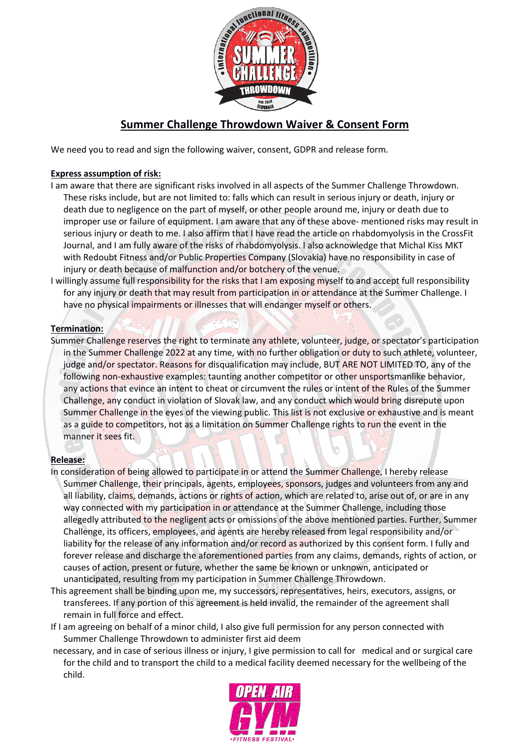

# **Summer Challenge Throwdown Waiver & Consent Form**

We need you to read and sign the following waiver, consent, GDPR and release form.

#### **Express assumption of risk:**

- I am aware that there are significant risks involved in all aspects of the Summer Challenge Throwdown. These risks include, but are not limited to: falls which can result in serious injury or death, injury or death due to negligence on the part of myself, or other people around me, injury or death due to improper use or failure of equipment. I am aware that any of these above- mentioned risks may result in serious injury or death to me. I also affirm that I have read the article on rhabdomyolysis in the CrossFit Journal, and I am fully aware of the risks of rhabdomyolysis. I also acknowledge that Michal Kiss MKT with Redoubt Fitness and/or Public Properties Company (Slovakia) have no responsibility in case of injury or death because of malfunction and/or botchery of the venue.
- I willingly assume full responsibility for the risks that I am exposing myself to and accept full responsibility for any injury or death that may result from participation in or attendance at the Summer Challenge. I have no physical impairments or illnesses that will endanger myself or others.

# **Termination:**

Summer Challenge reserves the right to terminate any athlete, volunteer, judge, or spectator's participation in the Summer Challenge 2022 at any time, with no further obligation or duty to such athlete, volunteer, judge and/or spectator. Reasons for disqualification may include, BUT ARE NOT LIMITED TO, any of the following non-exhaustive examples: taunting another competitor or other unsportsmanlike behavior, any actions that evince an intent to cheat or circumvent the rules or intent of the Rules of the Summer Challenge, any conduct in violation of Slovak law, and any conduct which would bring disrepute upon Summer Challenge in the eyes of the viewing public. This list is not exclusive or exhaustive and is meant as a guide to competitors, not as a limitation on Summer Challenge rights to run the event in the manner it sees fit.

# **Release:**

- In consideration of being allowed to participate in or attend the Summer Challenge, I hereby release Summer Challenge, their principals, agents, employees, sponsors, judges and volunteers from any and all liability, claims, demands, actions or rights of action, which are related to, arise out of, or are in any way connected with my participation in or attendance at the Summer Challenge, including those allegedly attributed to the negligent acts or omissions of the above mentioned parties. Further, Summer Challenge, its officers, employees, and agents are hereby released from legal responsibility and/or liability for the release of any information and/or record as authorized by this consent form. I fully and forever release and discharge the aforementioned parties from any claims, demands, rights of action, or causes of action, present or future, whether the same be known or unknown, anticipated or unanticipated, resulting from my participation in Summer Challenge Throwdown.
- This agreement shall be binding upon me, my successors, representatives, heirs, executors, assigns, or transferees. If any portion of this agreement is held invalid, the remainder of the agreement shall remain in full force and effect.
- If I am agreeing on behalf of a minor child, I also give full permission for any person connected with Summer Challenge Throwdown to administer first aid deem
- necessary, and in case of serious illness or injury, I give permission to call for medical and or surgical care for the child and to transport the child to a medical facility deemed necessary for the wellbeing of the child.

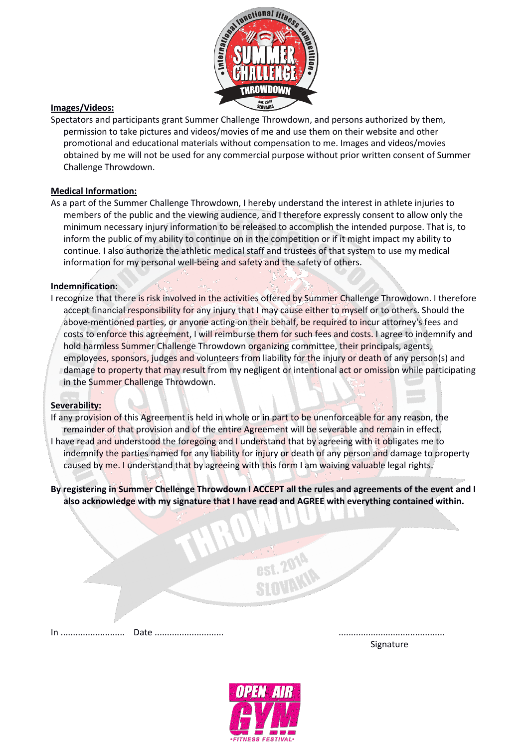

# **Images/Videos:**

Spectators and participants grant Summer Challenge Throwdown, and persons authorized by them, permission to take pictures and videos/movies of me and use them on their website and other promotional and educational materials without compensation to me. Images and videos/movies obtained by me will not be used for any commercial purpose without prior written consent of Summer Challenge Throwdown.

#### **Medical Information:**

As a part of the Summer Challenge Throwdown, I hereby understand the interest in athlete injuries to members of the public and the viewing audience, and I therefore expressly consent to allow only the minimum necessary injury information to be released to accomplish the intended purpose. That is, to inform the public of my ability to continue on in the competition or if it might impact my ability to continue. I also authorize the athletic medical staff and trustees of that system to use my medical information for my personal well-being and safety and the safety of others.

# **Indemnification:**

I recognize that there is risk involved in the activities offered by Summer Challenge Throwdown. I therefore accept financial responsibility for any injury that I may cause either to myself or to others. Should the above-mentioned parties, or anyone acting on their behalf, be required to incur attorney's fees and costs to enforce this agreement, I will reimburse them for such fees and costs. I agree to indemnify and hold harmless Summer Challenge Throwdown organizing committee, their principals, agents, employees, sponsors, judges and volunteers from liability for the injury or death of any person(s) and damage to property that may result from my negligent or intentional act or omission while participating in the Summer Challenge Throwdown.

#### **Severability:**

If any provision of this Agreement is held in whole or in part to be unenforceable for any reason, the remainder of that provision and of the entire Agreement will be severable and remain in effect. I have read and understood the foregoing and I understand that by agreeing with it obligates me to indemnify the parties named for any liability for injury or death of any person and damage to property caused by me. I understand that by agreeing with this form I am waiving valuable legal rights.

**By registering in Summer Chellenge Throwdown I ACCEPT all the rules and agreements of the event and I also acknowledge with my signature that I have read and AGREE with everything contained within.**

In .......................... Date ............................ ...........................................

Signature